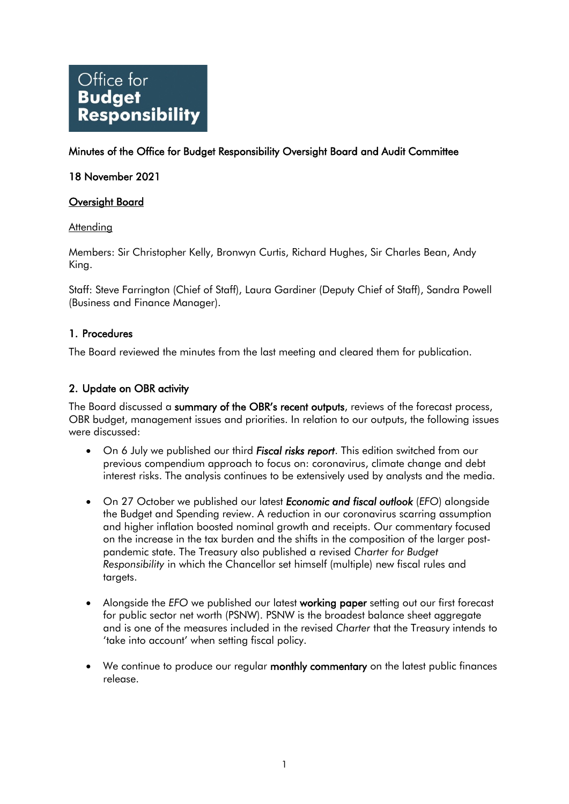# Office for **Budget Responsibility**

# Minutes of the Office for Budget Responsibility Oversight Board and Audit Committee

# 18 November 2021

## Oversight Board

#### Attending

Members: Sir Christopher Kelly, Bronwyn Curtis, Richard Hughes, Sir Charles Bean, Andy King.

Staff: Steve Farrington (Chief of Staff), Laura Gardiner (Deputy Chief of Staff), Sandra Powell (Business and Finance Manager).

## 1. Procedures

The Board reviewed the minutes from the last meeting and cleared them for publication.

# 2. Update on OBR activity

The Board discussed a summary of the OBR's recent outputs, reviews of the forecast process, OBR budget, management issues and priorities. In relation to our outputs, the following issues were discussed:

- On 6 July we published our third **Fiscal risks report**. This edition switched from our previous compendium approach to focus on: coronavirus, climate change and debt interest risks. The analysis continues to be extensively used by analysts and the media.
- On 27 October we published our latest *Economic and fiscal outlook* (*EFO*) alongside the Budget and Spending review. A reduction in our coronavirus scarring assumption and higher inflation boosted nominal growth and receipts. Our commentary focused on the increase in the tax burden and the shifts in the composition of the larger postpandemic state. The Treasury also published a revised *Charter for Budget Responsibility* in which the Chancellor set himself (multiple) new fiscal rules and targets.
- Alongside the *EFO* we published our latest working paper setting out our first forecast for public sector net worth (PSNW). PSNW is the broadest balance sheet aggregate and is one of the measures included in the revised *Charter* that the Treasury intends to 'take into account' when setting fiscal policy.
- We continue to produce our regular monthly commentary on the latest public finances release.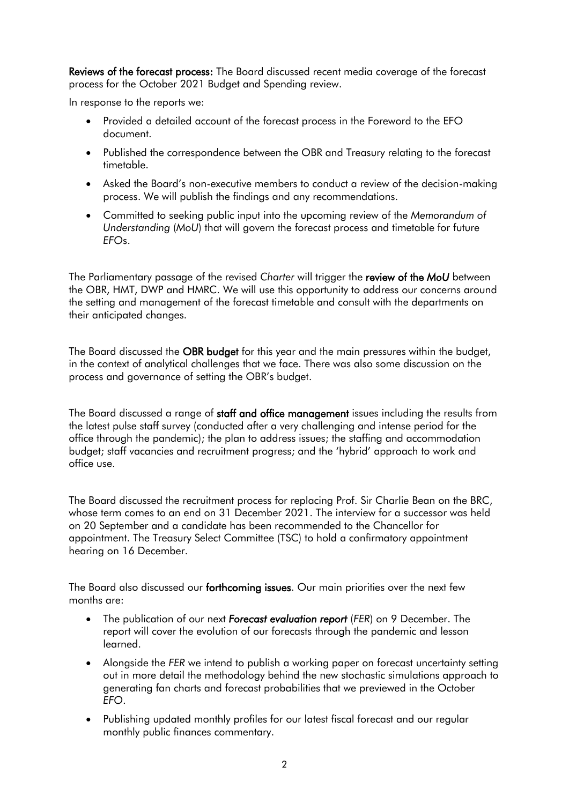Reviews of the forecast process: The Board discussed recent media coverage of the forecast process for the October 2021 Budget and Spending review.

In response to the reports we:

- Provided a detailed account of the forecast process in the Foreword to the EFO document.
- Published the correspondence between the OBR and Treasury relating to the forecast timetable.
- Asked the Board's non-executive members to conduct a review of the decision-making process. We will publish the findings and any recommendations.
- Committed to seeking public input into the upcoming review of the *Memorandum of Understanding* (*MoU*) that will govern the forecast process and timetable for future *EFO*s.

 the OBR, HMT, DWP and HMRC. We will use this opportunity to address our concerns around The Parliamentary passage of the revised *Charter* will trigger the review of the *MoU* between the setting and management of the forecast timetable and consult with the departments on their anticipated changes.

The Board discussed the **OBR budget** for this year and the main pressures within the budget, in the context of analytical challenges that we face. There was also some discussion on the process and governance of setting the OBR's budget.

The Board discussed a range of staff and office management issues including the results from the latest pulse staff survey (conducted after a very challenging and intense period for the office through the pandemic); the plan to address issues; the staffing and accommodation budget; staff vacancies and recruitment progress; and the 'hybrid' approach to work and office use.

The Board discussed the recruitment process for replacing Prof. Sir Charlie Bean on the BRC, whose term comes to an end on 31 December 2021. The interview for a successor was held on 20 September and a candidate has been recommended to the Chancellor for appointment. The Treasury Select Committee (TSC) to hold a confirmatory appointment hearing on 16 December.

The Board also discussed our forthcoming issues. Our main priorities over the next few months are:

- The publication of our next **Forecast evaluation report** (FER) on 9 December. The report will cover the evolution of our forecasts through the pandemic and lesson learned.
- Alongside the *FER* we intend to publish a working paper on forecast uncertainty setting out in more detail the methodology behind the new stochastic simulations approach to generating fan charts and forecast probabilities that we previewed in the October *EFO*.
- Publishing updated monthly profiles for our latest fiscal forecast and our regular monthly public finances commentary.